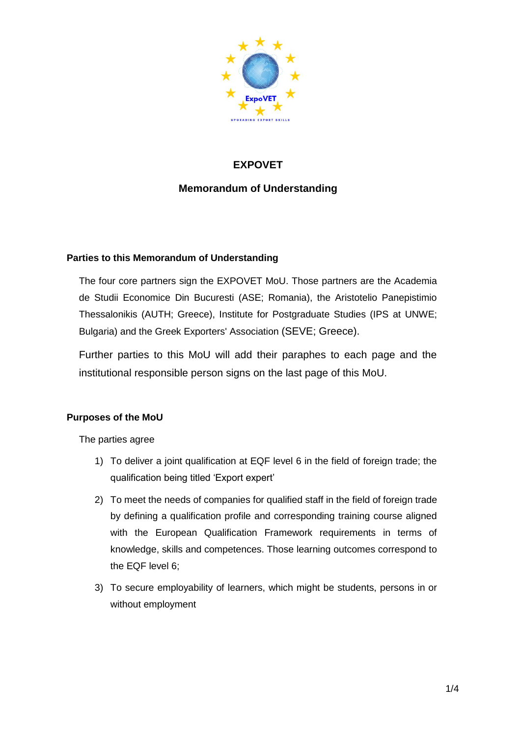

# **EXPOVET**

## **Memorandum of Understanding**

### **Parties to this Memorandum of Understanding**

The four core partners sign the EXPOVET MoU. Those partners are the Academia de Studii Economice Din Bucuresti (ASE; Romania), the Aristotelio Panepistimio Thessalonikis (AUTH; Greece), Institute for Postgraduate Studies (IPS at UNWE; Bulgaria) and the Greek Exporters' Association (SEVE; Greece).

Further parties to this MoU will add their paraphes to each page and the institutional responsible person signs on the last page of this MoU.

### **Purposes of the MoU**

The parties agree

- 1) To deliver a joint qualification at EQF level 6 in the field of foreign trade; the qualification being titled 'Export expert'
- 2) To meet the needs of companies for qualified staff in the field of foreign trade by defining a qualification profile and corresponding training course aligned with the European Qualification Framework requirements in terms of knowledge, skills and competences. Those learning outcomes correspond to the EQF level 6;
- 3) To secure employability of learners, which might be students, persons in or without employment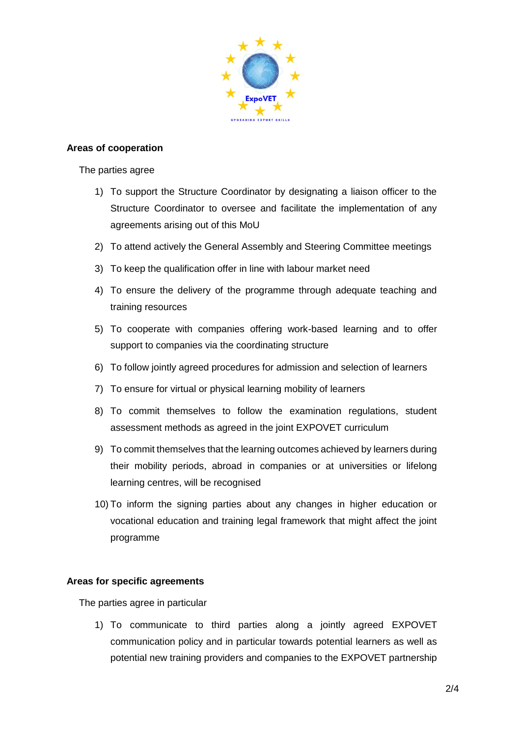

### **Areas of cooperation**

The parties agree

- 1) To support the Structure Coordinator by designating a liaison officer to the Structure Coordinator to oversee and facilitate the implementation of any agreements arising out of this MoU
- 2) To attend actively the General Assembly and Steering Committee meetings
- 3) To keep the qualification offer in line with labour market need
- 4) To ensure the delivery of the programme through adequate teaching and training resources
- 5) To cooperate with companies offering work-based learning and to offer support to companies via the coordinating structure
- 6) To follow jointly agreed procedures for admission and selection of learners
- 7) To ensure for virtual or physical learning mobility of learners
- 8) To commit themselves to follow the examination regulations, student assessment methods as agreed in the joint EXPOVET curriculum
- 9) To commit themselves that the learning outcomes achieved by learners during their mobility periods, abroad in companies or at universities or lifelong learning centres, will be recognised
- 10) To inform the signing parties about any changes in higher education or vocational education and training legal framework that might affect the joint programme

### **Areas for specific agreements**

The parties agree in particular

1) To communicate to third parties along a jointly agreed EXPOVET communication policy and in particular towards potential learners as well as potential new training providers and companies to the EXPOVET partnership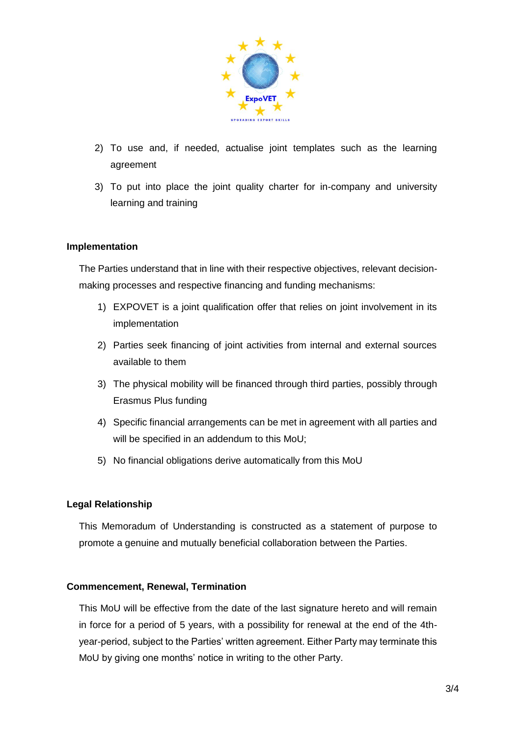

- 2) To use and, if needed, actualise joint templates such as the learning agreement
- 3) To put into place the joint quality charter for in-company and university learning and training

### **Implementation**

The Parties understand that in line with their respective objectives, relevant decisionmaking processes and respective financing and funding mechanisms:

- 1) EXPOVET is a joint qualification offer that relies on joint involvement in its implementation
- 2) Parties seek financing of joint activities from internal and external sources available to them
- 3) The physical mobility will be financed through third parties, possibly through Erasmus Plus funding
- 4) Specific financial arrangements can be met in agreement with all parties and will be specified in an addendum to this MoU;
- 5) No financial obligations derive automatically from this MoU

### **Legal Relationship**

This Memoradum of Understanding is constructed as a statement of purpose to promote a genuine and mutually beneficial collaboration between the Parties.

### **Commencement, Renewal, Termination**

This MoU will be effective from the date of the last signature hereto and will remain in force for a period of 5 years, with a possibility for renewal at the end of the 4thyear-period, subject to the Parties' written agreement. Either Party may terminate this MoU by giving one months' notice in writing to the other Party.